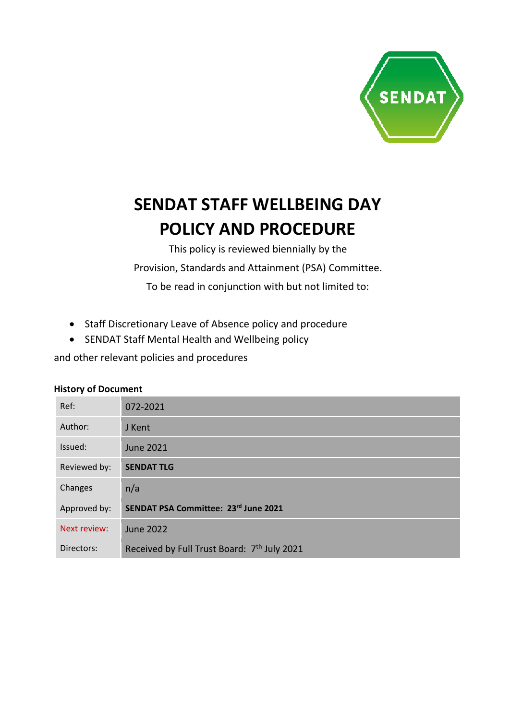

# **SENDAT STAFF WELLBEING DAY POLICY AND PROCEDURE**

This policy is reviewed biennially by the Provision, Standards and Attainment (PSA) Committee. To be read in conjunction with but not limited to:

- Staff Discretionary Leave of Absence policy and procedure
- SENDAT Staff Mental Health and Wellbeing policy

and other relevant policies and procedures

#### **History of Document**

| Ref:         | 072-2021                                                |
|--------------|---------------------------------------------------------|
| Author:      | J Kent                                                  |
| Issued:      | <b>June 2021</b>                                        |
| Reviewed by: | <b>SENDAT TLG</b>                                       |
| Changes      | n/a                                                     |
| Approved by: | SENDAT PSA Committee: 23rd June 2021                    |
| Next review: | <b>June 2022</b>                                        |
| Directors:   | Received by Full Trust Board: 7 <sup>th</sup> July 2021 |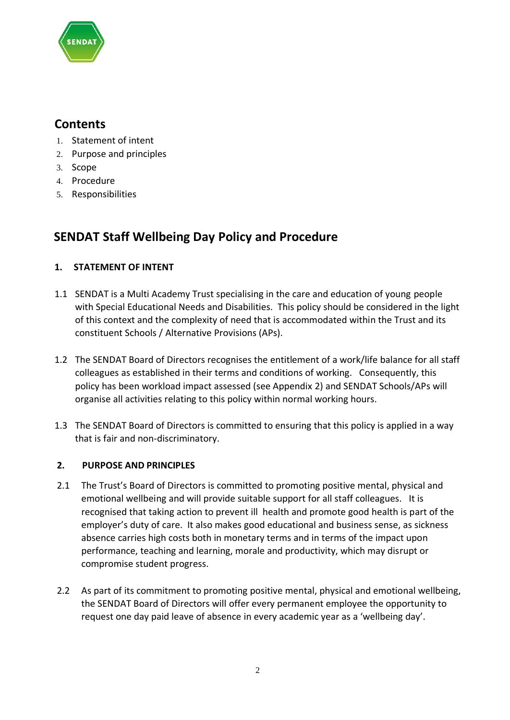

# **Contents**

- 1. Statement of intent
- 2. Purpose and principles
- 3. Scope
- 4. Procedure
- 5. Responsibilities

# **SENDAT Staff Wellbeing Day Policy and Procedure**

# **1. STATEMENT OF INTENT**

- 1.1 SENDAT is a Multi Academy Trust specialising in the care and education of young people with Special Educational Needs and Disabilities. This policy should be considered in the light of this context and the complexity of need that is accommodated within the Trust and its constituent Schools / Alternative Provisions (APs).
- 1.2 The SENDAT Board of Directors recognises the entitlement of a work/life balance for all staff colleagues as established in their terms and conditions of working. Consequently, this policy has been workload impact assessed (see Appendix 2) and SENDAT Schools/APs will organise all activities relating to this policy within normal working hours.
- 1.3 The SENDAT Board of Directors is committed to ensuring that this policy is applied in a way that is fair and non-discriminatory.

# **2. PURPOSE AND PRINCIPLES**

- 2.1 The Trust's Board of Directors is committed to promoting positive mental, physical and emotional wellbeing and will provide suitable support for all staff colleagues. It is recognised that taking action to prevent ill health and promote good health is part of the employer's duty of care. It also makes good educational and business sense, as sickness absence carries high costs both in monetary terms and in terms of the impact upon performance, teaching and learning, morale and productivity, which may disrupt or compromise student progress.
- 2.2 As part of its commitment to promoting positive mental, physical and emotional wellbeing, the SENDAT Board of Directors will offer every permanent employee the opportunity to request one day paid leave of absence in every academic year as a 'wellbeing day'.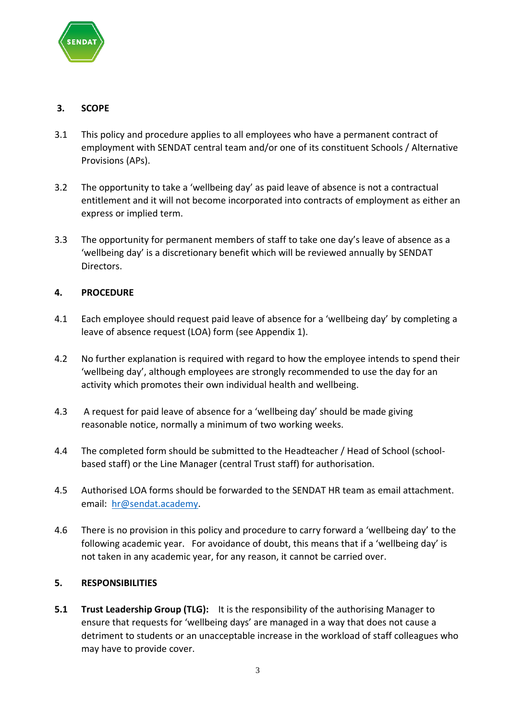

#### **3. SCOPE**

- 3.1 This policy and procedure applies to all employees who have a permanent contract of employment with SENDAT central team and/or one of its constituent Schools / Alternative Provisions (APs).
- 3.2 The opportunity to take a 'wellbeing day' as paid leave of absence is not a contractual entitlement and it will not become incorporated into contracts of employment as either an express or implied term.
- 3.3 The opportunity for permanent members of staff to take one day's leave of absence as a 'wellbeing day' is a discretionary benefit which will be reviewed annually by SENDAT Directors.

# **4. PROCEDURE**

- 4.1 Each employee should request paid leave of absence for a 'wellbeing day' by completing a leave of absence request (LOA) form (see Appendix 1).
- 4.2 No further explanation is required with regard to how the employee intends to spend their 'wellbeing day', although employees are strongly recommended to use the day for an activity which promotes their own individual health and wellbeing.
- 4.3 A request for paid leave of absence for a 'wellbeing day' should be made giving reasonable notice, normally a minimum of two working weeks.
- 4.4 The completed form should be submitted to the Headteacher / Head of School (schoolbased staff) or the Line Manager (central Trust staff) for authorisation.
- 4.5 Authorised LOA forms should be forwarded to the SENDAT HR team as email attachment. email: [hr@sendat.academy.](mailto:hr@sendat.academy)
- 4.6 There is no provision in this policy and procedure to carry forward a 'wellbeing day' to the following academic year. For avoidance of doubt, this means that if a 'wellbeing day' is not taken in any academic year, for any reason, it cannot be carried over.

#### **5. RESPONSIBILITIES**

**5.1 Trust Leadership Group (TLG):** It is the responsibility of the authorising Manager to ensure that requests for 'wellbeing days' are managed in a way that does not cause a detriment to students or an unacceptable increase in the workload of staff colleagues who may have to provide cover.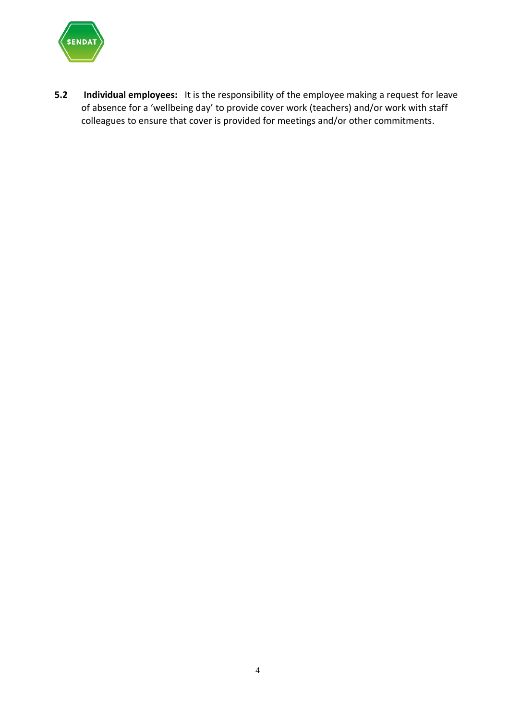

**5.2 Individual employees:** It is the responsibility of the employee making a request for leave of absence for a 'wellbeing day' to provide cover work (teachers) and/or work with staff colleagues to ensure that cover is provided for meetings and/or other commitments.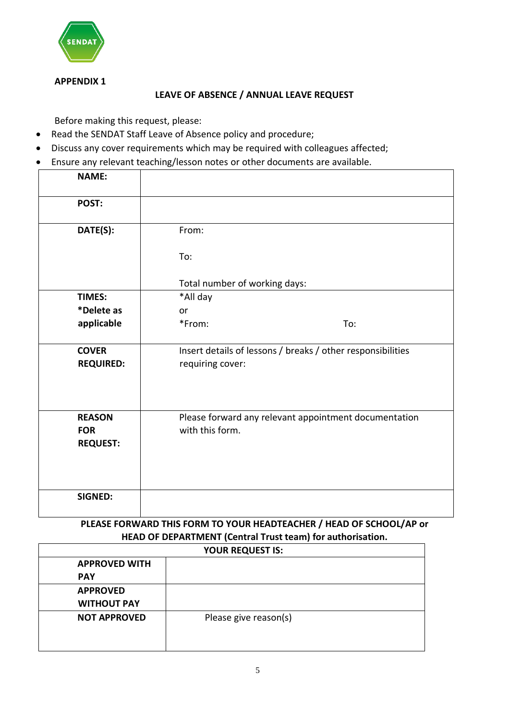

#### **APPENDIX 1**

#### **LEAVE OF ABSENCE / ANNUAL LEAVE REQUEST**

Before making this request, please:

- Read the SENDAT Staff Leave of Absence policy and procedure;
- Discuss any cover requirements which may be required with colleagues affected;
- Ensure any relevant teaching/lesson notes or other documents are available.

| <b>NAME:</b>                                   |                               |                                                             |
|------------------------------------------------|-------------------------------|-------------------------------------------------------------|
| POST:                                          |                               |                                                             |
| DATE(S):                                       | From:<br>To:                  |                                                             |
|                                                | Total number of working days: |                                                             |
| <b>TIMES:</b>                                  | *All day                      |                                                             |
| *Delete as                                     | or                            |                                                             |
| applicable                                     | *From:                        | To:                                                         |
| <b>COVER</b><br><b>REQUIRED:</b>               | requiring cover:              | Insert details of lessons / breaks / other responsibilities |
| <b>REASON</b><br><b>FOR</b><br><b>REQUEST:</b> | with this form.               | Please forward any relevant appointment documentation       |
| <b>SIGNED:</b>                                 |                               |                                                             |

# **PLEASE FORWARD THIS FORM TO YOUR HEADTEACHER / HEAD OF SCHOOL/AP or HEAD OF DEPARTMENT (Central Trust team) for authorisation.**

| <b>YOUR REQUEST IS:</b> |                       |  |  |  |
|-------------------------|-----------------------|--|--|--|
| <b>APPROVED WITH</b>    |                       |  |  |  |
| <b>PAY</b>              |                       |  |  |  |
| <b>APPROVED</b>         |                       |  |  |  |
| <b>WITHOUT PAY</b>      |                       |  |  |  |
| <b>NOT APPROVED</b>     | Please give reason(s) |  |  |  |
|                         |                       |  |  |  |
|                         |                       |  |  |  |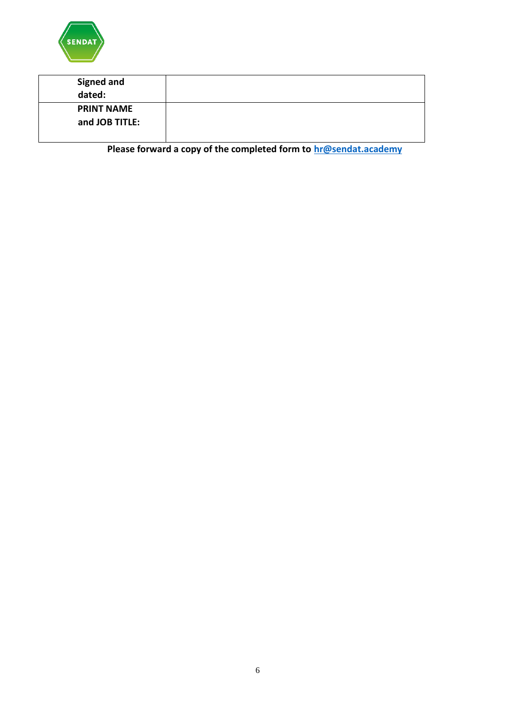

| <b>Signed and</b><br>dated: |  |
|-----------------------------|--|
| <b>PRINT NAME</b>           |  |
| and JOB TITLE:              |  |
|                             |  |

**Please forward a copy of the completed form to [hr@sendat.academy](mailto:hr@sendat.academy)**